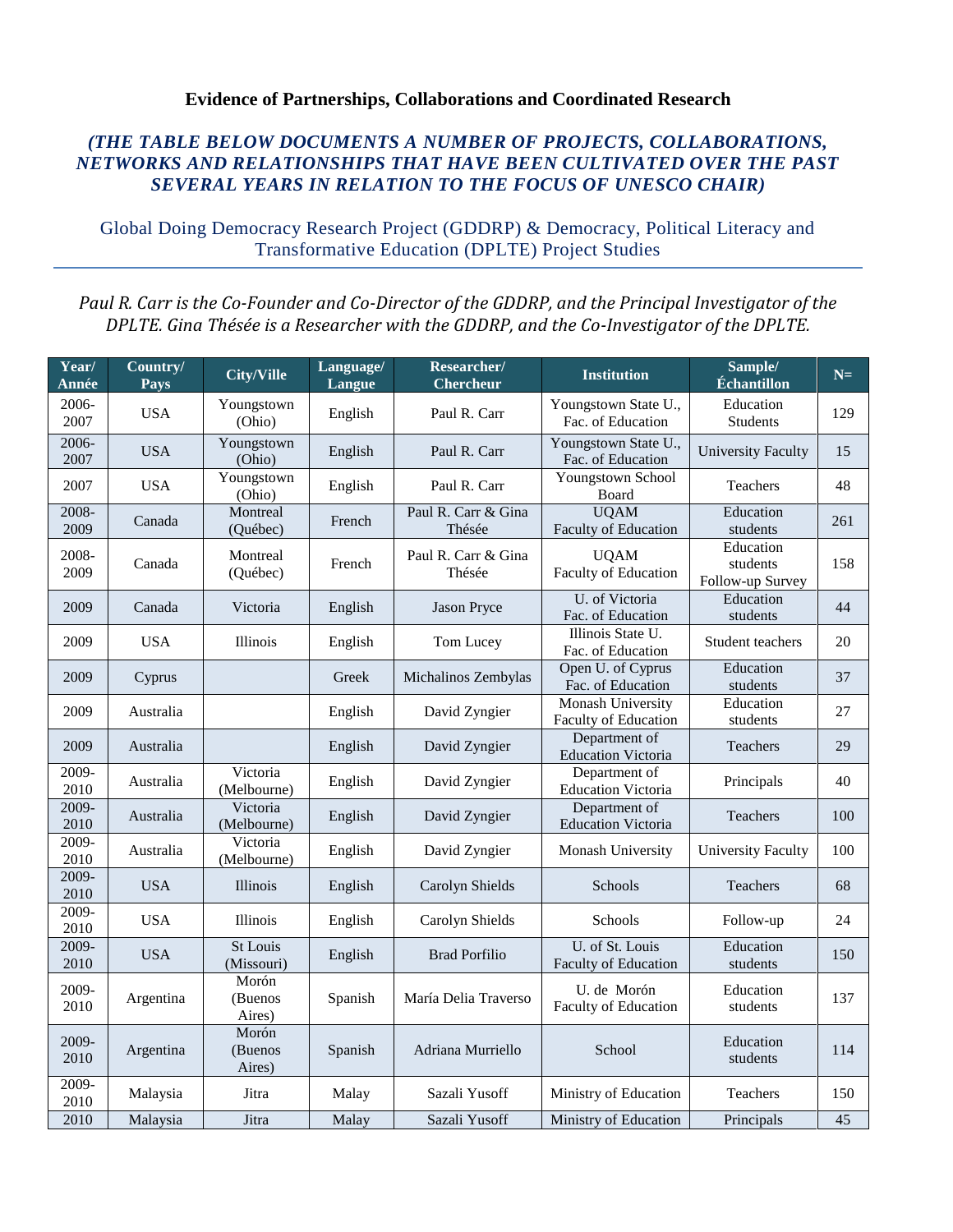## **Evidence of Partnerships, Collaborations and Coordinated Research**

## *(THE TABLE BELOW DOCUMENTS A NUMBER OF PROJECTS, COLLABORATIONS, NETWORKS AND RELATIONSHIPS THAT HAVE BEEN CULTIVATED OVER THE PAST SEVERAL YEARS IN RELATION TO THE FOCUS OF UNESCO CHAIR)*

Global Doing Democracy Research Project (GDDRP) & Democracy, Political Literacy and Transformative Education (DPLTE) Project Studies

## *Paul R. Carr is the Co-Founder and Co-Director of the GDDRP, and the Principal Investigator of the DPLTE. Gina Thésée is a Researcher with the GDDRP, and the Co-Investigator of the DPLTE.*

| Year/<br>Année   | Country/<br>Pays | <b>City/Ville</b>             | Language/<br>Langue | Researcher/<br><b>Chercheur</b> | <b>Institution</b>                               | Sample/<br>Échantillon                    | $N=$ |
|------------------|------------------|-------------------------------|---------------------|---------------------------------|--------------------------------------------------|-------------------------------------------|------|
| 2006-<br>2007    | <b>USA</b>       | Youngstown<br>(Ohio)          | English             | Paul R. Carr                    | Youngstown State U.,<br>Fac. of Education        | Education<br><b>Students</b>              | 129  |
| $2006 -$<br>2007 | <b>USA</b>       | Youngstown<br>(Ohio)          | English             | Paul R. Carr                    | Youngstown State U.,<br>Fac. of Education        | <b>University Faculty</b>                 | 15   |
| 2007             | <b>USA</b>       | Youngstown<br>(Ohio)          | English             | Paul R. Carr                    | Youngstown School<br>Board                       | <b>Teachers</b>                           | 48   |
| 2008-<br>2009    | Canada           | Montreal<br>(Québec)          | French              | Paul R. Carr & Gina<br>Thésée   | <b>UQAM</b><br>Faculty of Education              | Education<br>students                     | 261  |
| 2008-<br>2009    | Canada           | Montreal<br>(Québec)          | French              | Paul R. Carr & Gina<br>Thésée   | <b>UQAM</b><br>Faculty of Education              | Education<br>students<br>Follow-up Survey | 158  |
| 2009             | Canada           | Victoria                      | English             | <b>Jason Pryce</b>              | U. of Victoria<br>Fac. of Education              | Education<br>students                     | 44   |
| 2009             | <b>USA</b>       | Illinois                      | English             | Tom Lucey                       | Illinois State U.<br>Fac. of Education           | Student teachers                          | 20   |
| 2009             | Cyprus           |                               | Greek               | Michalinos Zembylas             | Open U. of Cyprus<br>Fac. of Education           | Education<br>students                     | 37   |
| 2009             | Australia        |                               | English             | David Zyngier                   | <b>Monash University</b><br>Faculty of Education | Education<br>students                     | 27   |
| 2009             | Australia        |                               | English             | David Zyngier                   | Department of<br><b>Education Victoria</b>       | Teachers                                  | 29   |
| 2009-<br>2010    | Australia        | Victoria<br>(Melbourne)       | English             | David Zyngier                   | Department of<br><b>Education Victoria</b>       | Principals                                | 40   |
| 2009-<br>2010    | Australia        | Victoria<br>(Melbourne)       | English             | David Zyngier                   | Department of<br><b>Education Victoria</b>       | <b>Teachers</b>                           | 100  |
| 2009-<br>2010    | Australia        | Victoria<br>(Melbourne)       | English             | David Zyngier                   | Monash University                                | <b>University Faculty</b>                 | 100  |
| 2009-<br>2010    | <b>USA</b>       | Illinois                      | English             | Carolyn Shields                 | Schools                                          | Teachers                                  | 68   |
| 2009-<br>2010    | <b>USA</b>       | Illinois                      | English             | Carolyn Shields                 | Schools                                          | Follow-up                                 | 24   |
| 2009-<br>2010    | <b>USA</b>       | <b>St Louis</b><br>(Missouri) | English             | <b>Brad Porfilio</b>            | U. of St. Louis<br>Faculty of Education          | Education<br>students                     | 150  |
| 2009-<br>2010    | Argentina        | Morón<br>(Buenos<br>Aires)    | Spanish             | María Delia Traverso            | U. de Morón<br>Faculty of Education              | Education<br>students                     | 137  |
| 2009-<br>2010    | Argentina        | Morón<br>(Buenos<br>Aires)    | Spanish             | Adriana Murriello               | School                                           | Education<br>students                     | 114  |
| $2009 -$<br>2010 | Malaysia         | Jitra                         | Malay               | Sazali Yusoff                   | Ministry of Education                            | Teachers                                  | 150  |
| 2010             | Malaysia         | Jitra                         | Malay               | Sazali Yusoff                   | Ministry of Education                            | Principals                                | 45   |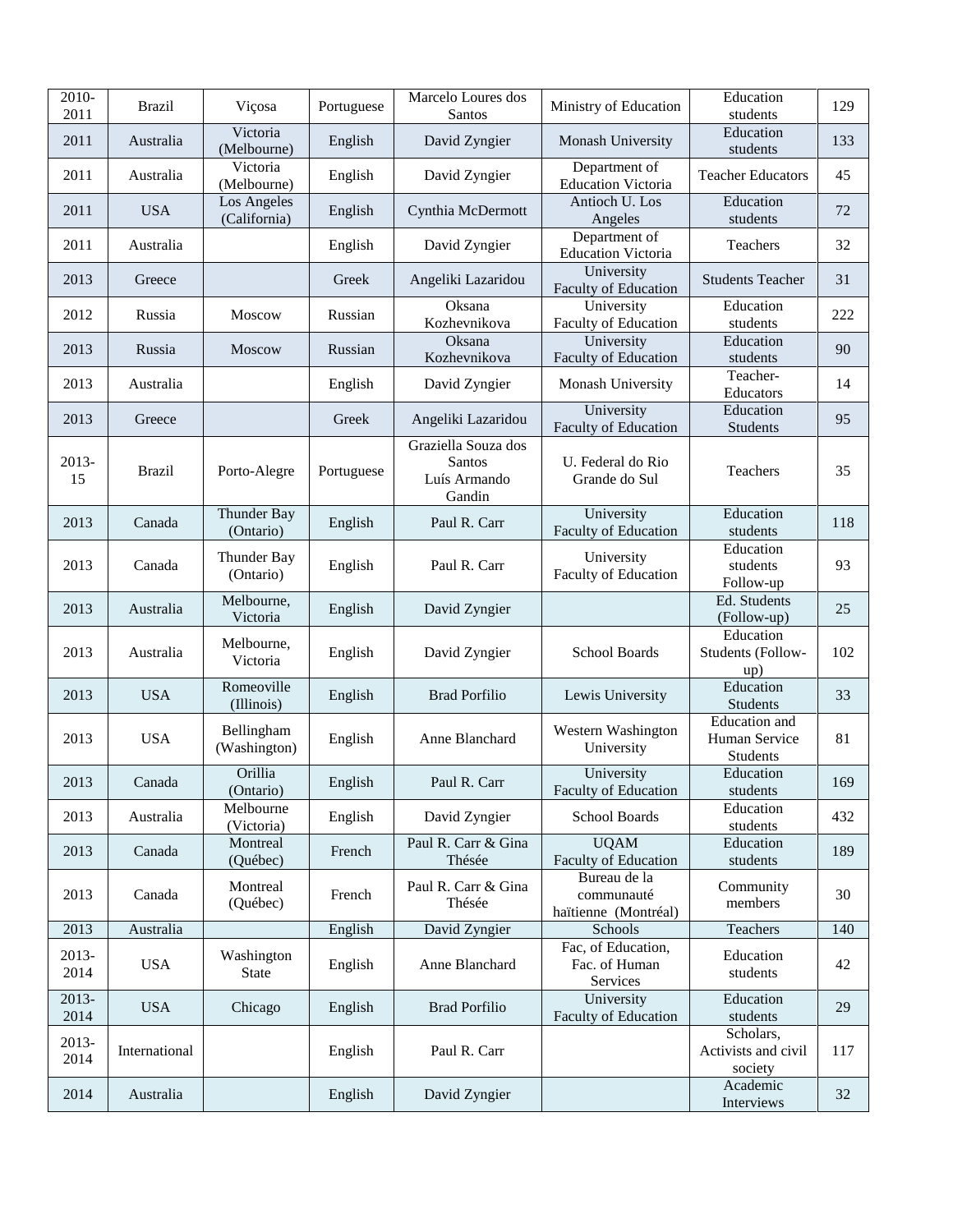| 2010-<br>2011   | <b>Brazil</b> | Viçosa                      | Portuguese | Marcelo Loures dos<br>Santos                                   | Ministry of Education                              | Education<br>students                       | 129 |
|-----------------|---------------|-----------------------------|------------|----------------------------------------------------------------|----------------------------------------------------|---------------------------------------------|-----|
| 2011            | Australia     | Victoria<br>(Melbourne)     | English    | David Zyngier                                                  | Monash University                                  | Education<br>students                       | 133 |
| 2011            | Australia     | Victoria<br>(Melbourne)     | English    | David Zyngier                                                  | Department of<br><b>Education Victoria</b>         | <b>Teacher Educators</b>                    | 45  |
| 2011            | <b>USA</b>    | Los Angeles<br>(California) | English    | Cynthia McDermott                                              | Antioch U. Los<br>Angeles                          | Education<br>students                       | 72  |
| 2011            | Australia     |                             | English    | David Zyngier                                                  | Department of<br><b>Education Victoria</b>         | Teachers                                    | 32  |
| 2013            | Greece        |                             | Greek      | Angeliki Lazaridou                                             | University<br>Faculty of Education                 | <b>Students Teacher</b>                     | 31  |
| 2012            | Russia        | <b>Moscow</b>               | Russian    | Oksana<br>Kozhevnikova                                         | University<br>Faculty of Education                 | Education<br>students                       | 222 |
| 2013            | Russia        | <b>Moscow</b>               | Russian    | Oksana<br>Kozhevnikova                                         | University<br>Faculty of Education                 | Education<br>students                       | 90  |
| 2013            | Australia     |                             | English    | David Zyngier                                                  | Monash University                                  | Teacher-<br>Educators                       | 14  |
| 2013            | Greece        |                             | Greek      | Angeliki Lazaridou                                             | University<br>Faculty of Education                 | Education<br>Students                       | 95  |
| 2013-<br>15     | <b>Brazil</b> | Porto-Alegre                | Portuguese | Graziella Souza dos<br><b>Santos</b><br>Luís Armando<br>Gandin | U. Federal do Rio<br>Grande do Sul                 | <b>Teachers</b>                             | 35  |
| 2013            | Canada        | Thunder Bay<br>(Ontario)    | English    | Paul R. Carr                                                   | University<br>Faculty of Education                 | Education<br>students                       | 118 |
| 2013            | Canada        | Thunder Bay<br>(Ontario)    | English    | Paul R. Carr                                                   | University<br>Faculty of Education                 | Education<br>students<br>Follow-up          | 93  |
| 2013            | Australia     | Melbourne,<br>Victoria      | English    | David Zyngier                                                  |                                                    | Ed. Students<br>(Follow-up)                 | 25  |
| 2013            | Australia     | Melbourne,<br>Victoria      | English    | David Zyngier                                                  | School Boards                                      | Education<br>Students (Follow-<br>up)       | 102 |
| 2013            | <b>USA</b>    | Romeoville<br>(Illinois)    | English    | <b>Brad Porfilio</b>                                           | Lewis University                                   | Education<br><b>Students</b>                | 33  |
| 2013            | <b>USA</b>    | Bellingham<br>(Washington)  | English    | Anne Blanchard                                                 | Western Washington<br>University                   | Education and<br>Human Service<br>Students  | 81  |
| 2013            | Canada        | Orillia<br>(Ontario)        | English    | Paul R. Carr                                                   | University<br>Faculty of Education                 | Education<br>students                       | 169 |
| 2013            | Australia     | Melbourne<br>(Victoria)     | English    | David Zyngier                                                  | School Boards                                      | Education<br>students                       | 432 |
| 2013            | Canada        | Montreal<br>(Québec)        | French     | Paul R. Carr & Gina<br>Thésée                                  | <b>UQAM</b><br><b>Faculty of Education</b>         | Education<br>students                       | 189 |
| 2013            | Canada        | Montreal<br>(Québec)        | French     | Paul R. Carr & Gina<br>Thésée                                  | Bureau de la<br>communauté<br>haïtienne (Montréal) | Community<br>members                        | 30  |
| 2013            | Australia     |                             | English    | David Zyngier                                                  | Schools                                            | Teachers                                    | 140 |
| $2013-$<br>2014 | <b>USA</b>    | Washington<br>State         | English    | Anne Blanchard                                                 | Fac, of Education,<br>Fac. of Human<br>Services    | Education<br>students                       | 42  |
| 2013-<br>2014   | <b>USA</b>    | Chicago                     | English    | <b>Brad Porfilio</b>                                           | University<br>Faculty of Education                 | Education<br>students                       | 29  |
| 2013-<br>2014   | International |                             | English    | Paul R. Carr                                                   |                                                    | Scholars,<br>Activists and civil<br>society | 117 |
| 2014            | Australia     |                             | English    | David Zyngier                                                  |                                                    | Academic<br>Interviews                      | 32  |